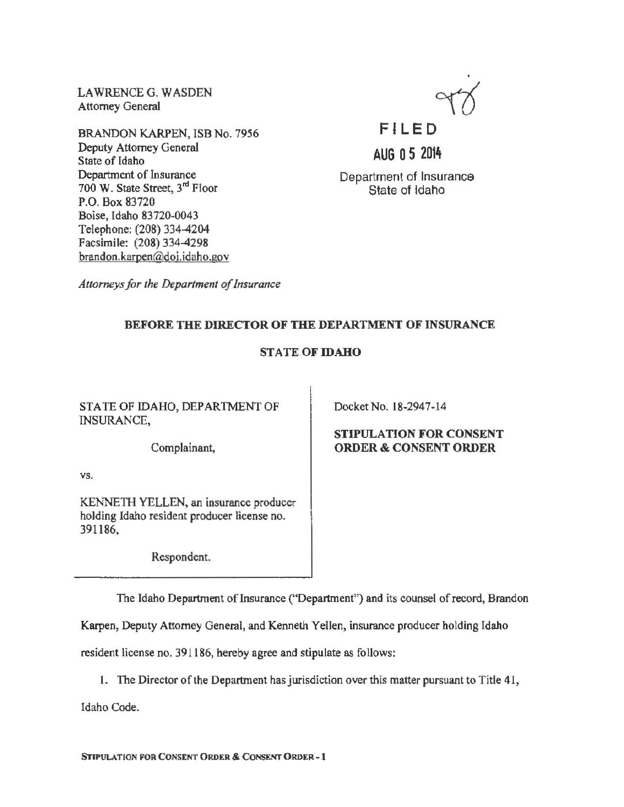LAWRENCE G. WASDEN Attorney General

BRANDON KARPEN, ISB No. 7956 Deputy Attorney General State of Idaho Department of Insurance 700 W. State Street, 3<sup>rd</sup> Floor P.O. Box 83720 Boise, Idaho 83720-0043 Telephone: (208) 334-4204 Facsimile: (208) 334-4298 brandon.karpen@doi.idaho.gov



AUG 0 5 2014

Department of Insurance State of Idaho

*Attorneys for the Department of Insurance* 

## BEFORE THE DIRECTOR OF THE DEPARTMENT OF INSURANCE

## STATE OF IDAHO

STATE OF IDAHO, DEPARTMENT OF INSURANCE,

Complainant,

vs.

KENNE1H YELLEN, an insurance producer holding Idaho resident producer license no. 391186,

Respondent.

Docket No. 18-2947-14

### STIPULATION FOR CONSENT ORDER & CONSENT ORDER

The Idaho Department of Insurance ("Department'') and its counsel of record, Brandon

Karpen, Deputy Attorney General, and Kenneth Yellen, insurance producer holding Idaho

resident license no. 391186, hereby agree and stipulate as follows:

l. The Director of the Department has jurisdiction over this matter pursuant to Title 41,

Idaho Code.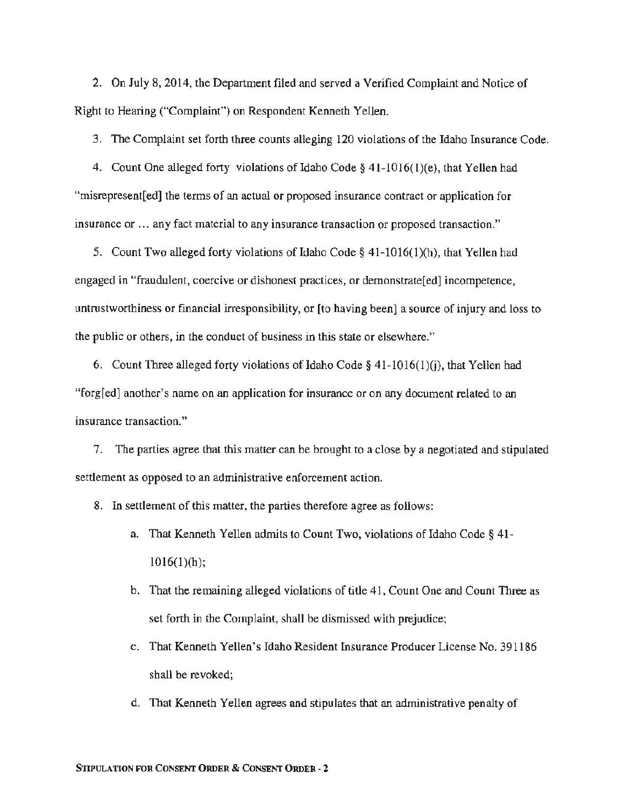2. On July 8, 2014, the Department filed and served a Verified Complaint and Notice of Right to Hearing ("Complaint") on Respondent Kenneth Yellen.

3. The Complaint set forth three counts alleging 120 violations of the Idaho Insurance Code.

4. Count One alleged forty violations of Idaho Code§ 41-1016(1)(e), that Yellen had "rnisrepresent[ed] the terms of an actual or proposed insurance contract or application for insurance or ... any fact material to any insurance transaction or proposed transaction."

5. Count Two alleged forty violations of Idaho Code§ 41-1016(1)(h), that Yellen had engaged in "fraudulent, coercive or dishonest practices, or demonstrate[ed] incompetence, untrustworthiness or financial irresponsibility, or [to having been} a source of injury and loss to the public or others, in the conduct of business in this state or elsewhere."

6. Count Three alleged forty violations of Idaho Code §  $41-1016(1)(i)$ , that Yellen had "forg[ed] another's name on an application for insurance or on any document related to an insurance transaction."

7. The parties agree that this matter can be brought to a close by a negotiated and stipulated settlement as opposed to an administrative enforcement action.

8. In settlement of this matter, the parties therefore agree as follows:

- a. That Kenneth Yellen admits to Count Two, violations of Idaho Code  $\S$  41- $1016(1)(h);$
- b. That the remaining alleged violations of title 41, Count One and Count Three as set forth in the Complaint, shall be dismissed with prejudice;
- c. That Kenneth Yellen's Idaho Resident Insurance Producer License No. 391186 shall be revoked;
- d. That Kenneth Yellen agrees and stipulates that an administrative penalty of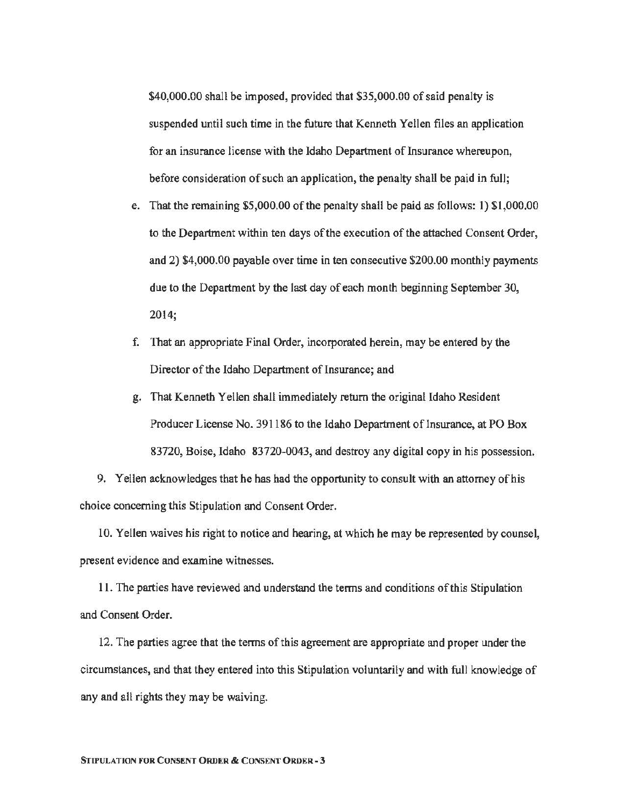\$40,000.00 shall be imposed, provided that \$35,000.00 of said penalty is suspended until such time in the future that Kenneth Yellen files an application for an insurance license with the Idaho Department of Insurance whereupon, before consideration of such an application, the penalty shall be paid in full;

- e. That the remaining \$5,000.00 ofthe penalty shall be paid as follows: 1) \$1,000.00 to the Department within ten days of the execution of the attached Consent Order, and 2) \$4,000.00 payable over time in ten consecutive \$200.00 monthly payments due to the Department by the last day of each month beginning September 30, 2014;
- f. That an appropriate Final Order, incorporated herein, may be entered by the Director of the Idaho Department of Insurance; and
- g. That Kenneth Yellen shall immediately return the original Idaho Resident Producer License No. 391186 to the Idaho Department of Insurance, at PO Box 83720, Boise, Idaho 83720-0043, and destroy any digital copy in his possession.

9. Yellen acknowledges that he has had the opportunity to consult with an attorney of his choice concerning this Stipulation and Consent Order.

10. Yellen waives his right to notice and hearing, at which he may be represented by counsel, present evidence and examine witnesses.

11. The parties have reviewed and understand the terms and conditions of this Stipulation and Consent Order.

12. The parties agree that the terms of this agreement are appropriate and proper under the circumstances, and that they entered into this Stipulation voluntarily and with full knowledge of any and all rights they may be waiving.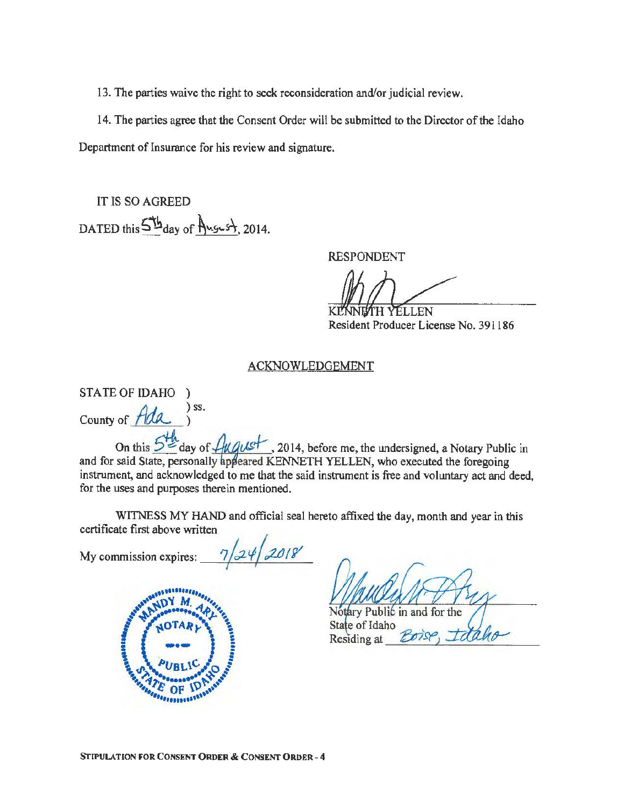13. The parties waive the right to seek reconsideration and/or judicial review.

14. The parties agree that the Consent Order will be submitted to the Director of the Idaho Department of Insurance for his review and signature.

IT IS SO AGREED DATED this  $5<sup>th</sup>$ day of August, 2014.

RESPONDENT

KM **YELLEN** 

Resident Producer License No. 391186

## ACKNOWLEDGEMENT

STATE OF IDAHO ) County of *Ada idA* )ss.

On this  $\frac{544}{10}$  day of  $\frac{1}{4}$ u aust , 2014, before me, the undersigned, a Notary Public in and for said State, personally appeared KENNETH YELLEN, who executed the foregoing instrument, and acknowledged to me that the said instrument is free and voluntary act and deed, for the uses and purposes therein mentioned.

WITNESS MY HAND and official seal hereto affixed the day, month and year in this certificate first above written

My commission expires:  $\frac{7}{24}$  2018



Notary Public in and for the State of Idaho Residing at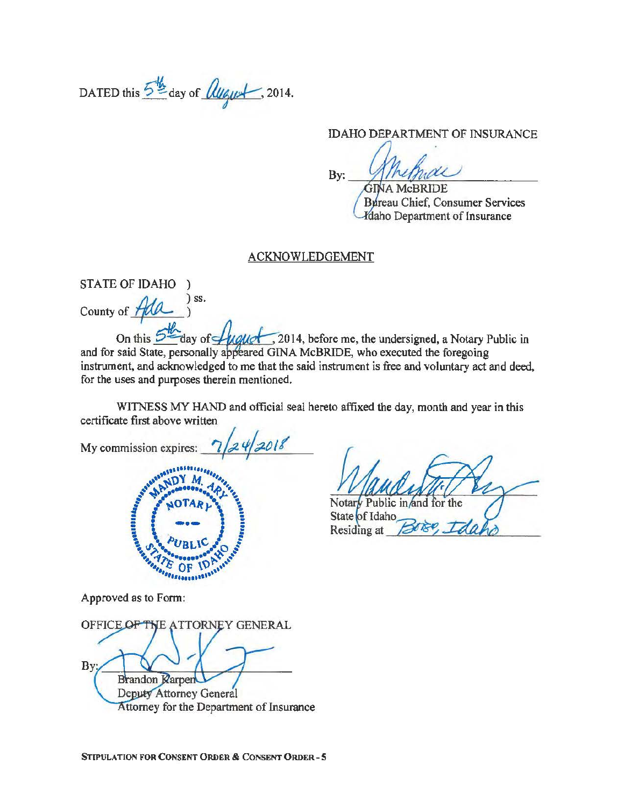DATED this  $5\frac{1}{2}$  day of  $\ell_{\ell}$   $\ell_{\ell}$  , 2014.

IDAHO DEPARTMENT OF INSURANCE

By: MIMINAL

Bureau Chief, Consumer Services **Klaho Department of Insurance** 

#### ACKNOWLEDGEMENT

STATE OF IDAHO )  $)$  ss. County of 7

On this  $5 -$ day of  $\sqrt{U}$   $\sim$  2014, before me, the undersigned, a Notary Public in and for said State, personally appeared GINA McBRIDE, who executed the foregoing instrument, and acknowledged to me that the said instrument is free and voluntary act and deed, for the uses and purposes therein mentioned.

WITNESS MY HAND and official seat hereto affixed the day, month and year in this certificate first above written

My commission expires:  $\sqrt{2}/24/2018$ ,,, ......... . ~, .. ~ y ... ,,.,.,., ~~ ~ ~v *4rt, -A* "~ ~" ""~-..-••••eel'A ,.,. ~ ~· ... · ... ~;.. ~ NOTARIN'  $\left(\frac{1}{2}\right)$ '\., "'/,.;.········ ~~ ......... "•, c; OF \~ .,, ''• ............. ,,,

Notary Public in and for the

State of Idaho Residing at

Approved as to Form:

**OFFICE** OF THE ATTORNEY GENERAL By: **Brandon Rarpen** Deputy Attorney General Attorney for the Department of Insurance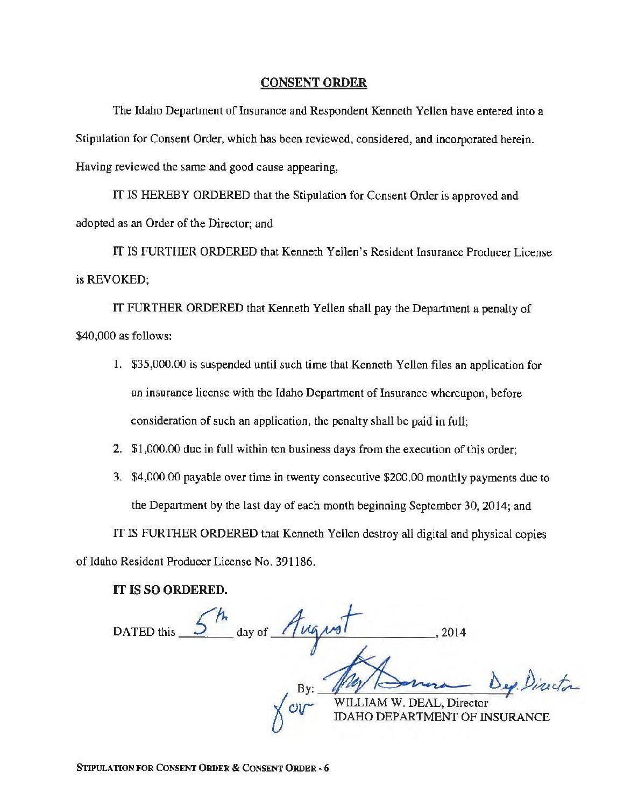#### CONSENT ORDER

The Idaho Department of Insurance and Respondent Kenneth Yellen have entered into a Stipulation for Consent Order, which has been reviewed, considered, and incorporated herein. Having reviewed the same and good cause appearing,

IT IS HEREBY ORDERED that the Stipulation for Consent Order is approved and adopted as an Order of the Director; and

IT IS FURTHER ORDERED that Kenneth Yellen's Resident Insurance Producer License is REVOKED;

IT FURTHER ORDERED that Kenneth Yellen shall pay the Department a penalty of \$40,000 as follows:

- 1. \$35,000.00 is suspended until such time that Kenneth Yellen files an application for an insurance license with the Idaho Department of Insurance whereupon, before consideration of such an application, the penalty shall be paid in full;
- 2. \$1,000.00 due in full within ten business days from the execution of this order;
- 3. \$4,000.00 payable over time in twenty consecutive \$200.00 monthly payments due to the Department by the last day of each month beginning September 30, 2014; and

IT IS FURTHER ORDERED that Kenneth Yellen destroy all digital and physical copies of Idaho Resident Producer License No. 391186.

IT IS SO ORDERED.

DATED this  $\frac{5^{h}}{4}$  day of  $\frac{1}{4}$ wiLLIAM W. DEAL, Director Dep. Director HO DEPARTMENT OF INSURANCE